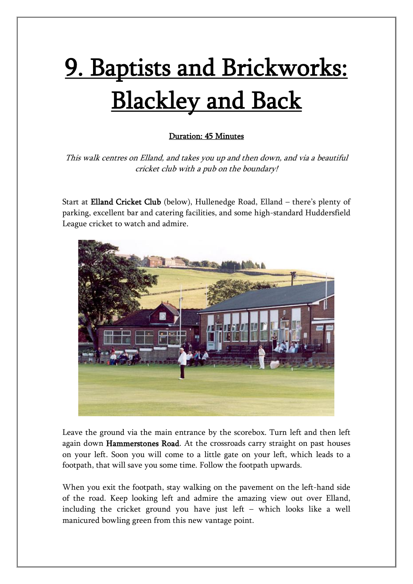## 9. Baptists and Brickworks: Blackley and Back

## Duration: 45 Minutes

This walk centres on Elland, and takes you up and then down, and via a beautiful cricket club with a pub on the boundary!

Start at Elland Cricket Club (below), Hullenedge Road, Elland – there's plenty of parking, excellent bar and catering facilities, and some high-standard Huddersfield League cricket to watch and admire.



Leave the ground via the main entrance by the scorebox. Turn left and then left again down Hammerstones Road. At the crossroads carry straight on past houses on your left. Soon you will come to a little gate on your left, which leads to a footpath, that will save you some time. Follow the footpath upwards.

When you exit the footpath, stay walking on the pavement on the left-hand side of the road. Keep looking left and admire the amazing view out over Elland, including the cricket ground you have just left – which looks like a well manicured bowling green from this new vantage point.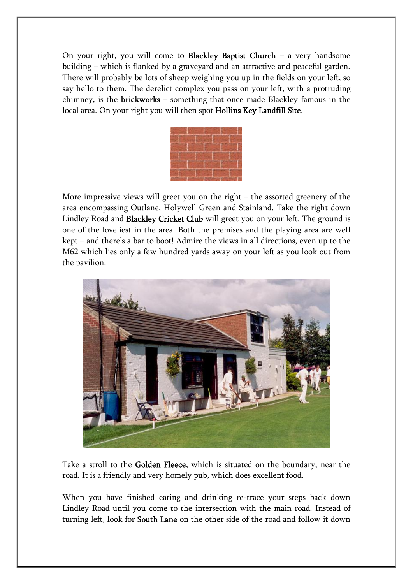On your right, you will come to **Blackley Baptist Church** – a very handsome building – which is flanked by a graveyard and an attractive and peaceful garden. There will probably be lots of sheep weighing you up in the fields on your left, so say hello to them. The derelict complex you pass on your left, with a protruding chimney, is the brickworks – something that once made Blackley famous in the local area. On your right you will then spot Hollins Key Landfill Site.

More impressive views will greet you on the right – the assorted greenery of the area encompassing Outlane, Holywell Green and Stainland. Take the right down Lindley Road and Blackley Cricket Club will greet you on your left. The ground is one of the loveliest in the area. Both the premises and the playing area are well kept – and there's a bar to boot! Admire the views in all directions, even up to the M62 which lies only a few hundred yards away on your left as you look out from the pavilion.



Take a stroll to the Golden Fleece, which is situated on the boundary, near the road. It is a friendly and very homely pub, which does excellent food.

When you have finished eating and drinking re-trace your steps back down Lindley Road until you come to the intersection with the main road. Instead of turning left, look for South Lane on the other side of the road and follow it down